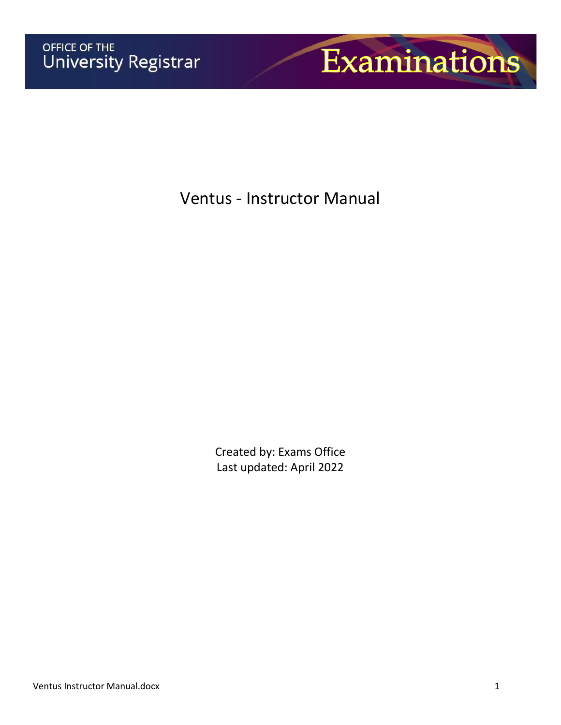

Ventus - Instructor Manual

Created by: Exams Office Last updated: April 2022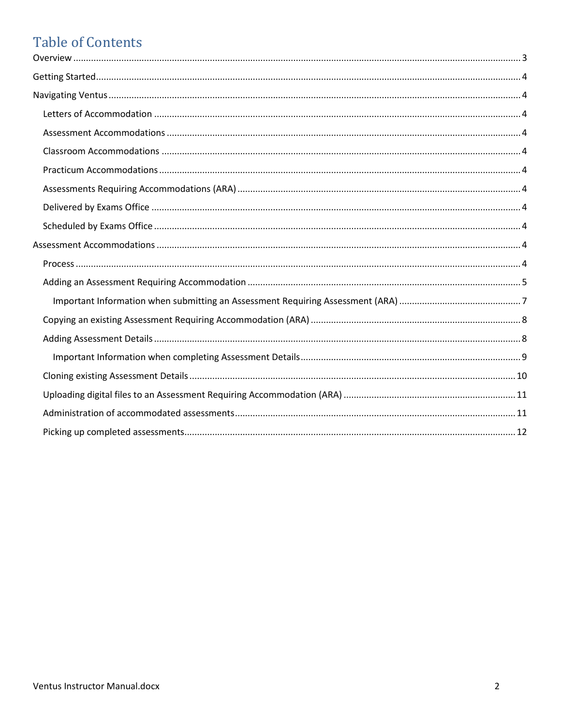# **Table of Contents**

<span id="page-1-0"></span>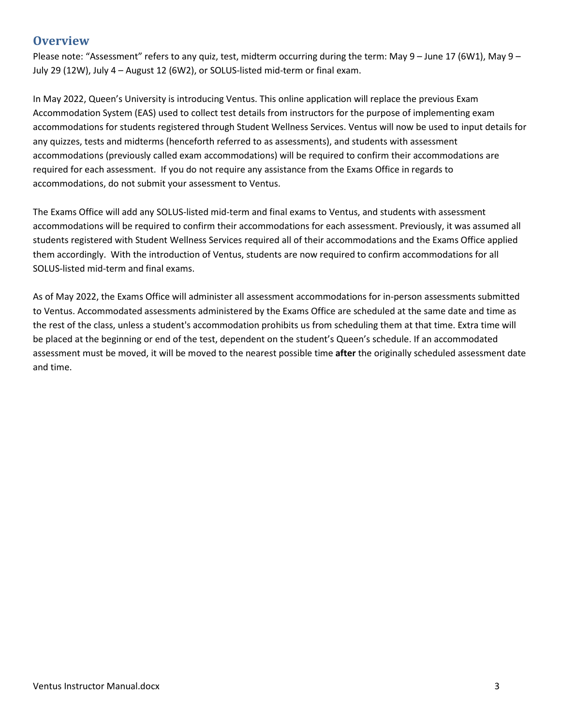## **Overview**

Please note: "Assessment" refers to any quiz, test, midterm occurring during the term: May 9 – June 17 (6W1), May 9 – July 29 (12W), July 4 – August 12 (6W2), or SOLUS-listed mid-term or final exam.

In May 2022, Queen's University is introducing Ventus. This online application will replace the previous Exam Accommodation System (EAS) used to collect test details from instructors for the purpose of implementing exam accommodations for students registered through Student Wellness Services. Ventus will now be used to input details for any quizzes, tests and midterms (henceforth referred to as assessments), and students with assessment accommodations (previously called exam accommodations) will be required to confirm their accommodations are required for each assessment. If you do not require any assistance from the Exams Office in regards to accommodations, do not submit your assessment to Ventus.

The Exams Office will add any SOLUS-listed mid-term and final exams to Ventus, and students with assessment accommodations will be required to confirm their accommodations for each assessment. Previously, it was assumed all students registered with Student Wellness Services required all of their accommodations and the Exams Office applied them accordingly. With the introduction of Ventus, students are now required to confirm accommodations for all SOLUS-listed mid-term and final exams.

As of May 2022, the Exams Office will administer all assessment accommodations for in-person assessments submitted to Ventus. Accommodated assessments administered by the Exams Office are scheduled at the same date and time as the rest of the class, unless a student's accommodation prohibits us from scheduling them at that time. Extra time will be placed at the beginning or end of the test, dependent on the student's Queen's schedule. If an accommodated assessment must be moved, it will be moved to the nearest possible time **after** the originally scheduled assessment date and time.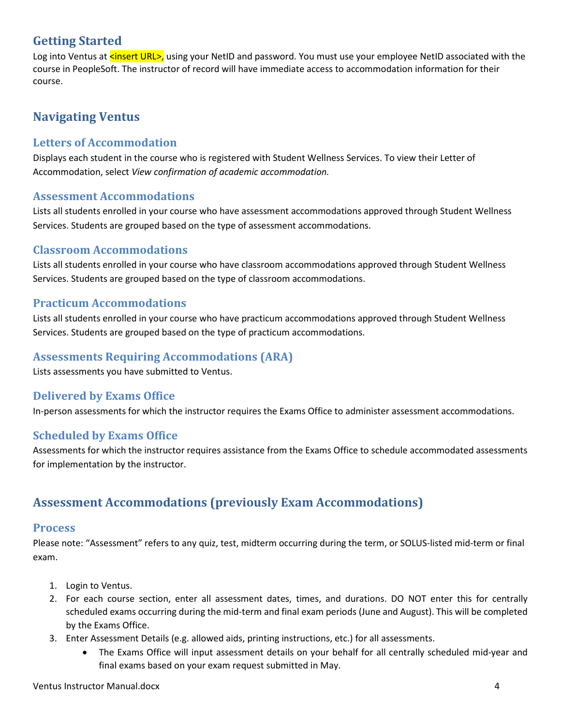## <span id="page-3-0"></span>**Getting Started**

Log into Ventus at <insert URL>, using your NetID and password. You must use your employee NetID associated with the course in PeopleSoft. The instructor of record will have immediate access to accommodation information for their course.

## <span id="page-3-1"></span>**Navigating Ventus**

## <span id="page-3-2"></span>**Letters of Accommodation**

Displays each student in the course who is registered with Student Wellness Services. To view their Letter of Accommodation, select *View confirmation of academic accommodation.*

#### <span id="page-3-3"></span>**Assessment Accommodations**

Lists all students enrolled in your course who have assessment accommodations approved through Student Wellness Services. Students are grouped based on the type of assessment accommodations.

## <span id="page-3-4"></span>**Classroom Accommodations**

Lists all students enrolled in your course who have classroom accommodations approved through Student Wellness Services. Students are grouped based on the type of classroom accommodations.

## <span id="page-3-5"></span>**Practicum Accommodations**

Lists all students enrolled in your course who have practicum accommodations approved through Student Wellness Services. Students are grouped based on the type of practicum accommodations.

## <span id="page-3-6"></span>**Assessments Requiring Accommodations (ARA)**

Lists assessments you have submitted to Ventus.

## <span id="page-3-7"></span>**Delivered by Exams Office**

In-person assessments for which the instructor requires the Exams Office to administer assessment accommodations.

## <span id="page-3-8"></span>**Scheduled by Exams Office**

Assessments for which the instructor requires assistance from the Exams Office to schedule accommodated assessments for implementation by the instructor.

## <span id="page-3-9"></span>**Assessment Accommodations (previously Exam Accommodations)**

#### <span id="page-3-10"></span>**Process**

Please note: "Assessment" refers to any quiz, test, midterm occurring during the term, or SOLUS-listed mid-term or final exam.

- 1. Login to Ventus.
- 2. For each course section, enter all assessment dates, times, and durations. DO NOT enter this for centrally scheduled exams occurring during the mid-term and final exam periods (June and August). This will be completed by the Exams Office.
- 3. Enter Assessment Details (e.g. allowed aids, printing instructions, etc.) for all assessments.
	- The Exams Office will input assessment details on your behalf for all centrally scheduled mid-year and final exams based on your exam request submitted in May.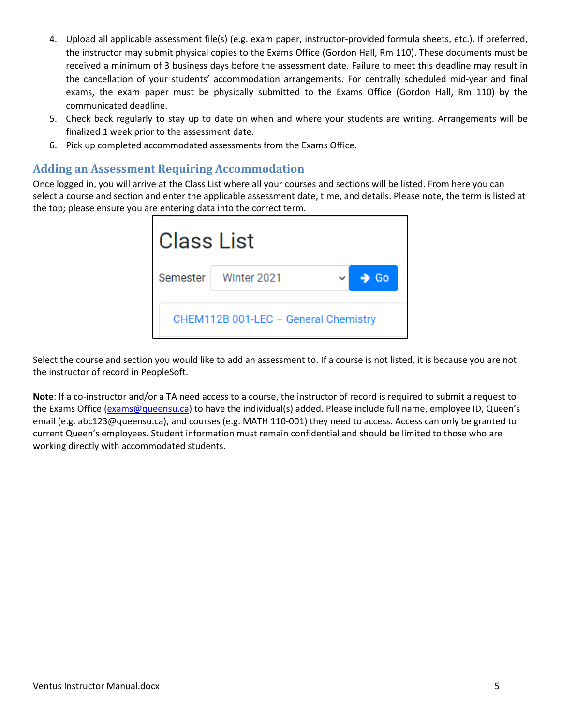- 4. Upload all applicable assessment file(s) (e.g. exam paper, instructor-provided formula sheets, etc.). If preferred, the instructor may submit physical copies to the Exams Office (Gordon Hall, Rm 110). These documents must be received a minimum of 3 business days before the assessment date. Failure to meet this deadline may result in the cancellation of your students' accommodation arrangements. For centrally scheduled mid-year and final exams, the exam paper must be physically submitted to the Exams Office (Gordon Hall, Rm 110) by the communicated deadline.
- 5. Check back regularly to stay up to date on when and where your students are writing. Arrangements will be finalized 1 week prior to the assessment date.
- 6. Pick up completed accommodated assessments from the Exams Office.

## <span id="page-4-0"></span>**Adding an Assessment Requiring Accommodation**

Once logged in, you will arrive at the Class List where all your courses and sections will be listed. From here you can select a course and section and enter the applicable assessment date, time, and details. Please note, the term is listed at the top; please ensure you are entering data into the correct term.

| Class List |                                      |                  |  |
|------------|--------------------------------------|------------------|--|
|            | Semester   Winter 2021               | $\rightarrow$ Go |  |
|            | CHEM112B 001-LEC - General Chemistry |                  |  |

Select the course and section you would like to add an assessment to. If a course is not listed, it is because you are not the instructor of record in PeopleSoft.

**Note**: If a co-instructor and/or a TA need access to a course, the instructor of record is required to submit a request to the Exams Office [\(exams@queensu.ca\)](mailto:exams@queensu.ca) to have the individual(s) added. Please include full name, employee ID, Queen's email (e.g. abc123@queensu.ca), and courses (e.g. MATH 110-001) they need to access. Access can only be granted to current Queen's employees. Student information must remain confidential and should be limited to those who are working directly with accommodated students.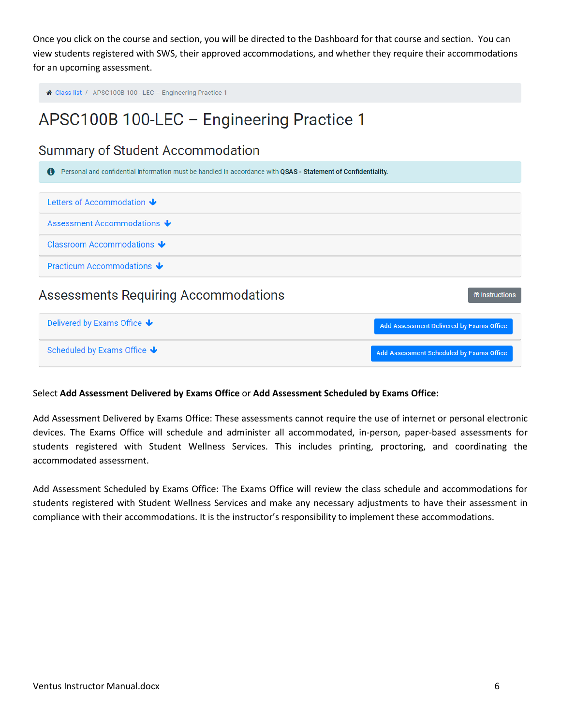Once you click on the course and section, you will be directed to the Dashboard for that course and section. You can view students registered with SWS, their approved accommodations, and whether they require their accommodations for an upcoming assessment.

```
↑ Class list / APSC100B 100 - LEC - Engineering Practice 1
```
## APSC100B 100-LEC - Engineering Practice 1

## **Summary of Student Accommodation**

| $\mathbf{a}$<br>Personal and confidential information must be handled in accordance with QSAS - Statement of Confidentiality. |                                          |
|-------------------------------------------------------------------------------------------------------------------------------|------------------------------------------|
| Letters of Accommodation $\blacktriangleright$                                                                                |                                          |
| Assessment Accommodations $\blacktriangleright$                                                                               |                                          |
| Classroom Accommodations $\blacktriangleright$                                                                                |                                          |
| Practicum Accommodations $\bigtriangledown$                                                                                   |                                          |
| <b>Assessments Requiring Accommodations</b>                                                                                   | <b><sup>⑦</sup>Instructions</b>          |
| Delivered by Exams Office $\bigtriangledown$                                                                                  | Add Assessment Delivered by Exams Office |
| Scheduled by Exams Office $\bigtriangledown$                                                                                  | Add Assessment Scheduled by Exams Office |

#### Select **Add Assessment Delivered by Exams Office** or **Add Assessment Scheduled by Exams Office:**

Add Assessment Delivered by Exams Office: These assessments cannot require the use of internet or personal electronic devices. The Exams Office will schedule and administer all accommodated, in-person, paper-based assessments for students registered with Student Wellness Services. This includes printing, proctoring, and coordinating the accommodated assessment.

Add Assessment Scheduled by Exams Office: The Exams Office will review the class schedule and accommodations for students registered with Student Wellness Services and make any necessary adjustments to have their assessment in compliance with their accommodations. It is the instructor's responsibility to implement these accommodations.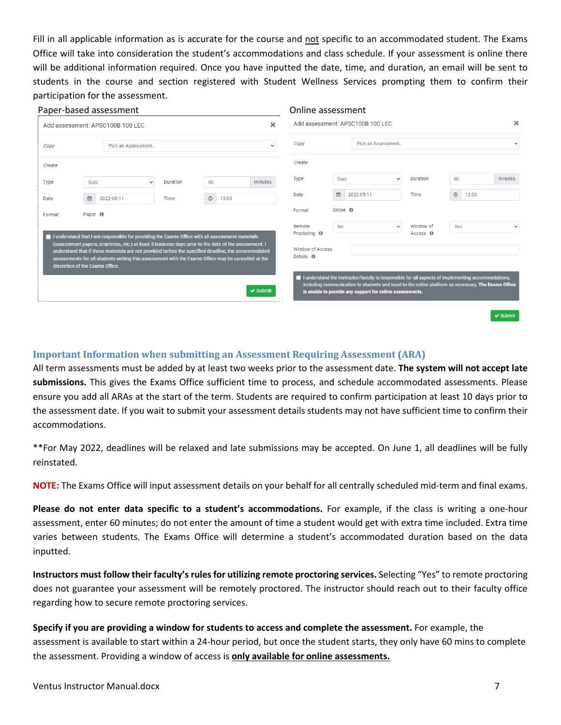Fill in all applicable information as is accurate for the course and not specific to an accommodated student. The Exams Office will take into consideration the student's accommodations and class schedule. If your assessment is online there will be additional information required. Once you have inputted the date, time, and duration, an email will be sent to students in the course and section registered with Student Wellness Services prompting them to confirm their participation for the assessment.

|        |                                 |                    | Paper-based assessment                                                                                                                                                                                    |          |         |       |               | Online assessment                                 |                 |                                                                                                                                                                                                                                                                       |                                |                  |               |
|--------|---------------------------------|--------------------|-----------------------------------------------------------------------------------------------------------------------------------------------------------------------------------------------------------|----------|---------|-------|---------------|---------------------------------------------------|-----------------|-----------------------------------------------------------------------------------------------------------------------------------------------------------------------------------------------------------------------------------------------------------------------|--------------------------------|------------------|---------------|
|        |                                 |                    | Add assessment: APSC100B 100 LEC                                                                                                                                                                          |          |         |       | ×             |                                                   |                 | Add assessment: APSC100B 100 LEC                                                                                                                                                                                                                                      |                                |                  | ×             |
| Copy   |                                 |                    | Pick an Assessment                                                                                                                                                                                        |          |         |       | $\checkmark$  | Copy                                              |                 | Pick an Assessment                                                                                                                                                                                                                                                    |                                |                  | $\checkmark$  |
| Create |                                 |                    |                                                                                                                                                                                                           |          |         |       |               | Create                                            |                 |                                                                                                                                                                                                                                                                       |                                |                  |               |
| Type   |                                 | Quiz               | $\checkmark$                                                                                                                                                                                              | Duration | 60      |       | minutes       | Type                                              | Quiz            | $\checkmark$                                                                                                                                                                                                                                                          | Duration                       | 60               | minutes       |
| Date   |                                 | 巤                  | 2022-05-11                                                                                                                                                                                                | Time     | $\odot$ | 13:00 |               | Date                                              | 雦               | 2022-05-11                                                                                                                                                                                                                                                            | Time                           | $\odot$<br>13:00 |               |
| Format |                                 | Paper <sup>O</sup> |                                                                                                                                                                                                           |          |         |       |               | Format                                            | Online <b>O</b> |                                                                                                                                                                                                                                                                       |                                |                  |               |
|        |                                 |                    | I understand that I am responsible for providing the Exams Office with all assessment materials<br>(assessment papers, scantrons, etc.) at least 3 business days prior to the date of the assessment. I   |          |         |       |               | Remote<br>Proctoring <b>O</b><br>Window of Access | <b>No</b>       | $\checkmark$                                                                                                                                                                                                                                                          | Window of<br>$Access$ $\Theta$ | Yes              | $\checkmark$  |
|        | discretion of the Exams Office. |                    | understand that if these materials are not provided before the specified deadline, the accommodated<br>assessments for all students writing this assessment with the Exams Office may be cancelled at the |          |         |       | $\vee$ Submit | Details <sup>O</sup>                              |                 | I understand the instructor/faculty is responsible for all aspects of implementing accommodations,<br>including communication to students and input to the online platform as necessary. The Exams Office<br>is unable to provide any support for online assessments. |                                |                  |               |
|        |                                 |                    |                                                                                                                                                                                                           |          |         |       |               |                                                   |                 |                                                                                                                                                                                                                                                                       |                                |                  | $\vee$ Submit |

#### <span id="page-6-0"></span>**Important Information when submitting an Assessment Requiring Assessment (ARA)**

All term assessments must be added by at least two weeks prior to the assessment date. **The system will not accept late submissions.** This gives the Exams Office sufficient time to process, and schedule accommodated assessments. Please ensure you add all ARAs at the start of the term. Students are required to confirm participation at least 10 days prior to the assessment date. If you wait to submit your assessment details students may not have sufficient time to confirm their accommodations.

\*\*For May 2022, deadlines will be relaxed and late submissions may be accepted. On June 1, all deadlines will be fully reinstated.

**NOTE:** The Exams Office will input assessment details on your behalf for all centrally scheduled mid-term and final exams.

**Please do not enter data specific to a student's accommodations.** For example, if the class is writing a one-hour assessment, enter 60 minutes; do not enter the amount of time a student would get with extra time included. Extra time varies between students. The Exams Office will determine a student's accommodated duration based on the data inputted.

**Instructors must follow their faculty's rules for utilizing remote proctoring services.** Selecting "Yes" to remote proctoring does not guarantee your assessment will be remotely proctored. The instructor should reach out to their faculty office regarding how to secure remote proctoring services.

**Specify if you are providing a window for students to access and complete the assessment.** For example, the assessment is available to start within a 24-hour period, but once the student starts, they only have 60 mins to complete the assessment. Providing a window of access is **only available for online assessments.**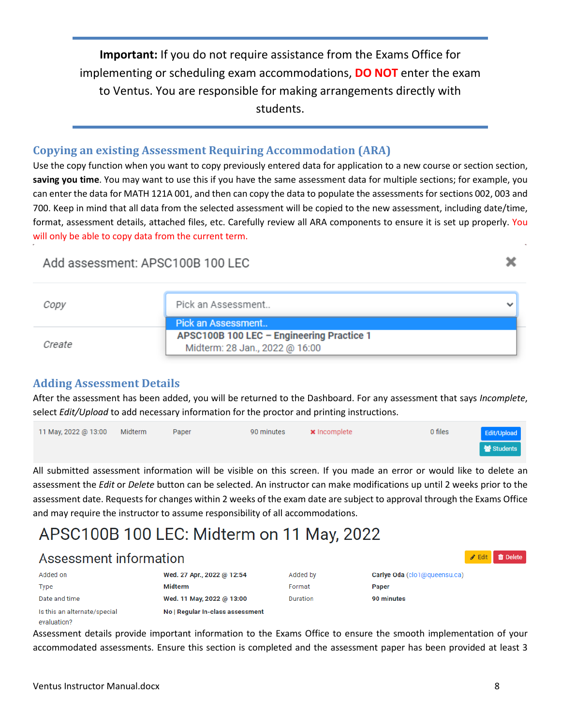**Important:** If you do not require assistance from the Exams Office for implementing or scheduling exam accommodations, **DO NOT** enter the exam to Ventus. You are responsible for making arrangements directly with students.

## <span id="page-7-0"></span>**Copying an existing Assessment Requiring Accommodation (ARA)**

Use the copy function when you want to copy previously entered data for application to a new course or section section, **saving you time**. You may want to use this if you have the same assessment data for multiple sections; for example, you can enter the data for MATH 121A 001, and then can copy the data to populate the assessments for sections 002, 003 and 700. Keep in mind that all data from the selected assessment will be copied to the new assessment, including date/time, format, assessment details, attached files, etc. Carefully review all ARA components to ensure it is set up properly. You will only be able to copy data from the current term.

## Add assessment: APSC100B 100 LEC

| Copy   | Pick an Assessment                                                          | v |
|--------|-----------------------------------------------------------------------------|---|
|        | Pick an Assessment                                                          |   |
| Create | APSC100B 100 LEC - Engineering Practice 1<br>Midterm: 28 Jan., 2022 @ 16:00 |   |

## <span id="page-7-1"></span>**Adding Assessment Details**

After the assessment has been added, you will be returned to the Dashboard. For any assessment that says *Incomplete*, select *Edit/Upload* to add necessary information for the proctor and printing instructions.

| 11 May, 2022 @ 13:00 Midterm | Paper | 90 minutes | $\boldsymbol{\times}$ Incomplete | 0 files | Edit/Upload |
|------------------------------|-------|------------|----------------------------------|---------|-------------|
|                              |       |            |                                  |         | Students    |

All submitted assessment information will be visible on this screen. If you made an error or would like to delete an assessment the *Edit* or *Delete* button can be selected. An instructor can make modifications up until 2 weeks prior to the assessment date. Requests for changes within 2 weeks of the exam date are subject to approval through the Exams Office and may require the instructor to assume responsibility of all accommodations.

# APSC100B 100 LEC: Midterm on 11 May, 2022

| Assessment information       |                                  |          |                              | <b>Edit in</b> Delete |
|------------------------------|----------------------------------|----------|------------------------------|-----------------------|
| Added on                     | Wed. 27 Apr., 2022 @ 12:54       | Added by | Carlye Oda (clo1@queensu.ca) |                       |
| Type                         | <b>Midterm</b>                   | Format   | Paper                        |                       |
| Date and time                | Wed. 11 May, 2022 @ 13:00        | Duration | 90 minutes                   |                       |
| Is this an alternate/special | No   Regular In-class assessment |          |                              |                       |

Assessment details provide important information to the Exams Office to ensure the smooth implementation of your accommodated assessments. Ensure this section is completed and the assessment paper has been provided at least 3

evaluation?

×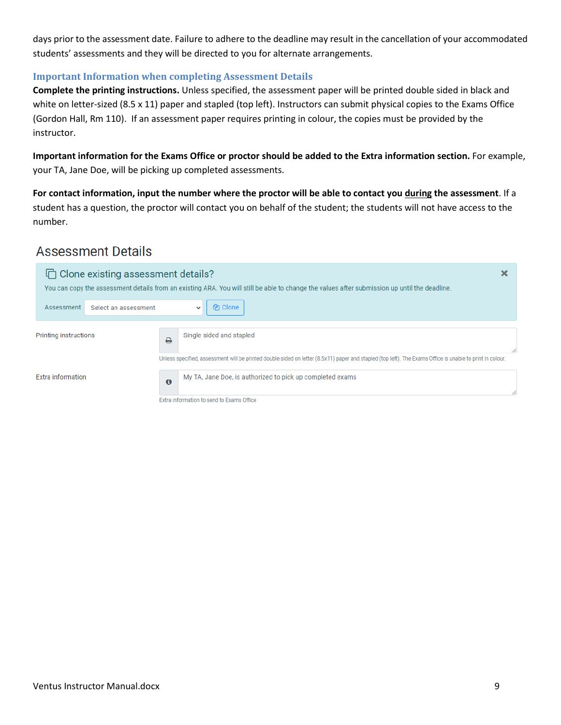days prior to the assessment date. Failure to adhere to the deadline may result in the cancellation of your accommodated students' assessments and they will be directed to you for alternate arrangements.

#### <span id="page-8-0"></span>**Important Information when completing Assessment Details**

**Complete the printing instructions.** Unless specified, the assessment paper will be printed double sided in black and white on letter-sized (8.5 x 11) paper and stapled (top left). Instructors can submit physical copies to the Exams Office (Gordon Hall, Rm 110). If an assessment paper requires printing in colour, the copies must be provided by the instructor.

**Important information for the Exams Office or proctor should be added to the Extra information section.** For example, your TA, Jane Doe, will be picking up completed assessments.

**For contact information, input the number where the proctor will be able to contact you during the assessment**. If a student has a question, the proctor will contact you on behalf of the student; the students will not have access to the number.

## **Assessment Details**

| □ Clone existing assessment details? |                     | You can copy the assessment details from an existing ARA. You will still be able to change the values after submission up until the deadline.             | ×  |
|--------------------------------------|---------------------|-----------------------------------------------------------------------------------------------------------------------------------------------------------|----|
| Select an assessment<br>Assessment   |                     | <b>P</b> Clone                                                                                                                                            |    |
| <b>Printing instructions</b>         | ₽                   | Single sided and stapled                                                                                                                                  | // |
|                                      |                     | Unless specified, assessment will be printed double sided on letter (8.5x11) paper and stapled (top left). The Exams Office is unable to print in colour. |    |
| Extra information                    | $\ddot{\mathbf{e}}$ | My TA, Jane Doe, is authorized to pick up completed exams                                                                                                 |    |
|                                      |                     | Extra information to send to Exams Office                                                                                                                 |    |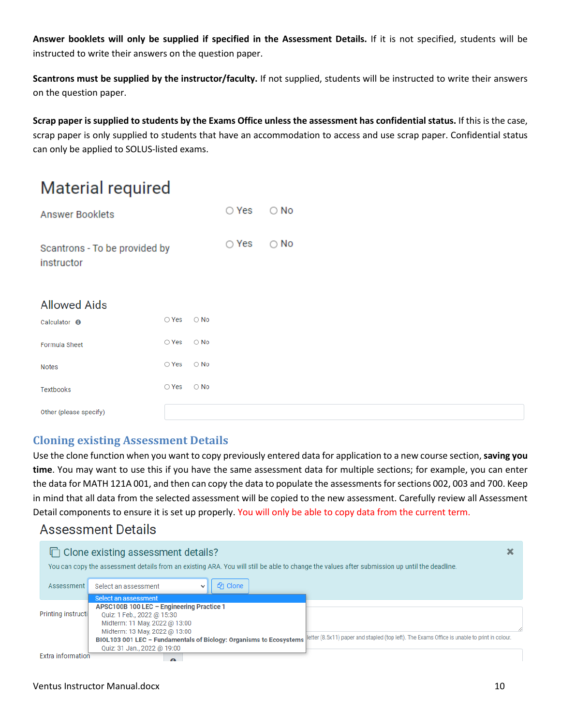**Answer booklets will only be supplied if specified in the Assessment Details.** If it is not specified, students will be instructed to write their answers on the question paper.

**Scantrons must be supplied by the instructor/faculty.** If not supplied, students will be instructed to write their answers on the question paper.

**Scrap paper is supplied to students by the Exams Office unless the assessment has confidential status.** If this is the case, scrap paper is only supplied to students that have an accommodation to access and use scrap paper. Confidential status can only be applied to SOLUS-listed exams.

# **Material required**

| Answer Booklets                             | $\bigcirc$ Yes $\bigcirc$ No |  |
|---------------------------------------------|------------------------------|--|
| Scantrons - To be provided by<br>instructor | $\bigcirc$ Yes $\bigcirc$ No |  |

## **Allowed Aids**

| Calculator <sup>6</sup> | $\bigcirc$ Yes $\bigcirc$ No |            |
|-------------------------|------------------------------|------------|
| Formula Sheet           | $\bigcirc$ Yes               | $\circ$ No |
| Notes                   | $\bigcirc$ Yes               | $\circ$ No |
| Textbooks               | $\bigcirc$ Yes               | $\circ$ No |
| Other (please specify)  |                              |            |

## <span id="page-9-0"></span>**Cloning existing Assessment Details**

Use the clone function when you want to copy previously entered data for application to a new course section, **saving you time**. You may want to use this if you have the same assessment data for multiple sections; for example, you can enter the data for MATH 121A 001, and then can copy the data to populate the assessments for sections 002, 003 and 700. Keep in mind that all data from the selected assessment will be copied to the new assessment. Carefully review all Assessment Detail components to ensure it is set up properly. You will only be able to copy data from the current term.

## **Assessment Details**

|                    | □ Clone existing assessment details?<br>×                                                                                                                          |   |
|--------------------|--------------------------------------------------------------------------------------------------------------------------------------------------------------------|---|
|                    | You can copy the assessment details from an existing ARA. You will still be able to change the values after submission up until the deadline.                      |   |
| Assessment         | <b>4</b> Clone<br>Select an assessment                                                                                                                             |   |
|                    | Select an assessment                                                                                                                                               |   |
|                    | APSC100B 100 LEC - Engineering Practice 1                                                                                                                          |   |
| Printing instructi | Quiz: 1 Feb., 2022 @ 15:30                                                                                                                                         |   |
|                    | Midterm: 11 May, 2022 @ 13:00                                                                                                                                      |   |
|                    | Midterm: 13 May, 2022 @ 13:00                                                                                                                                      | 4 |
|                    | letter (8.5x11) paper and stapled (top left). The Exams Office is unable to print in colour.<br>BIOL103 001 LEC - Fundamentals of Biology: Organisms to Ecosystems |   |
|                    | Quiz: 31 Jan., 2022 @ 19:00                                                                                                                                        |   |
| Extra information  |                                                                                                                                                                    |   |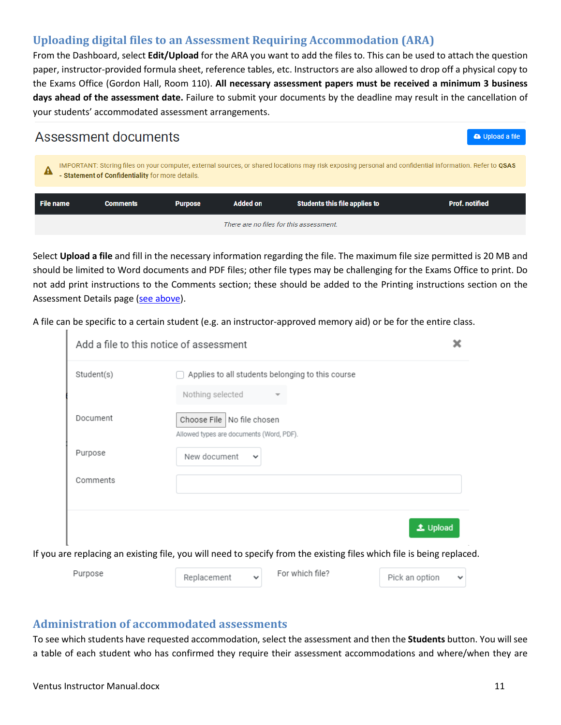## <span id="page-10-0"></span>**Uploading digital files to an Assessment Requiring Accommodation (ARA)**

From the Dashboard, select **Edit/Upload** for the ARA you want to add the files to. This can be used to attach the question paper, instructor-provided formula sheet, reference tables, etc. Instructors are also allowed to drop off a physical copy to the Exams Office (Gordon Hall, Room 110). **All necessary assessment papers must be received a minimum 3 business days ahead of the assessment date.** Failure to submit your documents by the deadline may result in the cancellation of your students' accommodated assessment arrangements.

#### Assessment documents **a** Upload a file IMPORTANT: Storing files on your computer, external sources, or shared locations may risk exposing personal and confidential information. Refer to QSAS - Statement of Confidentiality for more details. **Students this file applies to Prof. notified File name Comments Purpose Added on** There are no files for this assessment.

Select **Upload a file** and fill in the necessary information regarding the file. The maximum file size permitted is 20 MB and should be limited to Word documents and PDF files; other file types may be challenging for the Exams Office to print. Do not add print instructions to the Comments section; these should be added to the Printing instructions section on the Assessment Details page [\(see above\)](#page-8-0).

A file can be specific to a certain student (e.g. an instructor-approved memory aid) or be for the entire class.

| Student(s) | Applies to all students belonging to this course |
|------------|--------------------------------------------------|
|            | Nothing selected                                 |
| Document   | Choose File   No file chosen                     |
|            | Allowed types are documents (Word, PDF).         |
| Purpose    | New document<br>$\checkmark$                     |
| Comments   |                                                  |
|            |                                                  |
|            | <b>土 Upload</b>                                  |
|            |                                                  |

## <span id="page-10-1"></span>**Administration of accommodated assessments**

To see which students have requested accommodation, select the assessment and then the **Students** button. You will see a table of each student who has confirmed they require their assessment accommodations and where/when they are

T